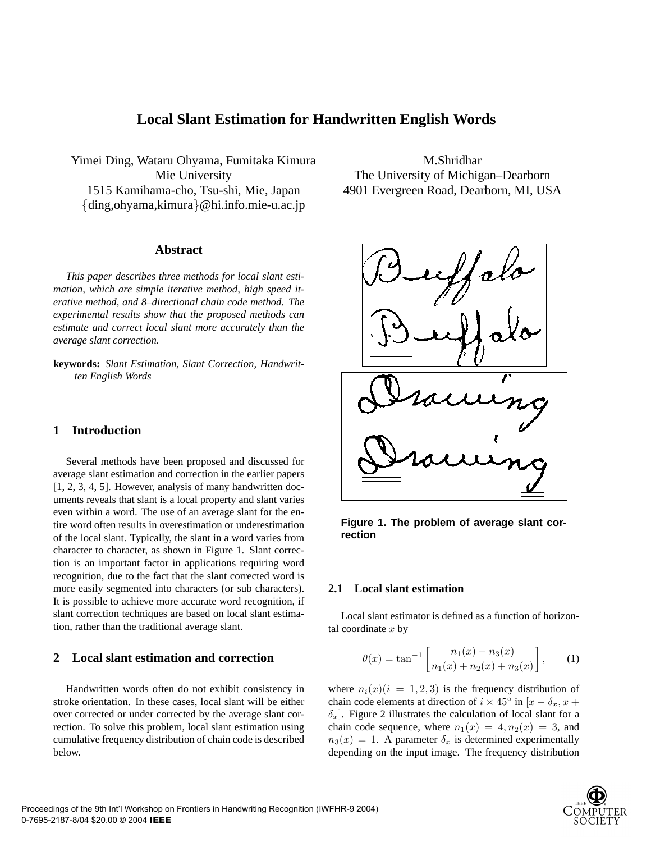# **Local Slant Estimation for Handwritten English Words**

Yimei Ding, Wataru Ohyama, Fumitaka Kimura Mie University 1515 Kamihama-cho, Tsu-shi, Mie, Japan {ding,ohyama,kimura}@hi.info.mie-u.ac.jp

## **Abstract**

*This paper describes three methods for local slant estimation, which are simple iterative method, high speed iterative method, and 8–directional chain code method. The experimental results show that the proposed methods can estimate and correct local slant more accurately than the average slant correction.*

**keywords:** *Slant Estimation, Slant Correction, Handwritten English Words*

# **1 Introduction**

Several methods have been proposed and discussed for average slant estimation and correction in the earlier papers [1, 2, 3, 4, 5]. However, analysis of many handwritten documents reveals that slant is a local property and slant varies even within a word. The use of an average slant for the entire word often results in overestimation or underestimation of the local slant. Typically, the slant in a word varies from character to character, as shown in Figure 1. Slant correction is an important factor in applications requiring word recognition, due to the fact that the slant corrected word is more easily segmented into characters (or sub characters). It is possible to achieve more accurate word recognition, if slant correction techniques are based on local slant estimation, rather than the traditional average slant.

# **2 Local slant estimation and correction**

Handwritten words often do not exhibit consistency in stroke orientation. In these cases, local slant will be either over corrected or under corrected by the average slant correction. To solve this problem, local slant estimation using cumulative frequency distribution of chain code is described below.

M.Shridhar The University of Michigan–Dearborn 4901 Evergreen Road, Dearborn, MI, USA



**Figure 1. The problem of average slant correction**

# **2.1 Local slant estimation**

Local slant estimator is defined as a function of horizontal coordinate  $x$  by

$$
\theta(x) = \tan^{-1} \left[ \frac{n_1(x) - n_3(x)}{n_1(x) + n_2(x) + n_3(x)} \right], \quad (1)
$$

where  $n_i(x)(i = 1, 2, 3)$  is the frequency distribution of chain code elements at direction of  $i \times 45^\circ$  in  $[x - \delta_x, x +$  $\delta_x$ ]. Figure 2 illustrates the calculation of local slant for a chain code sequence, where  $n_1(x) = 4, n_2(x) = 3$ , and  $n_3(x) = 1$ . A parameter  $\delta_x$  is determined experimentally depending on the input image. The frequency distribution

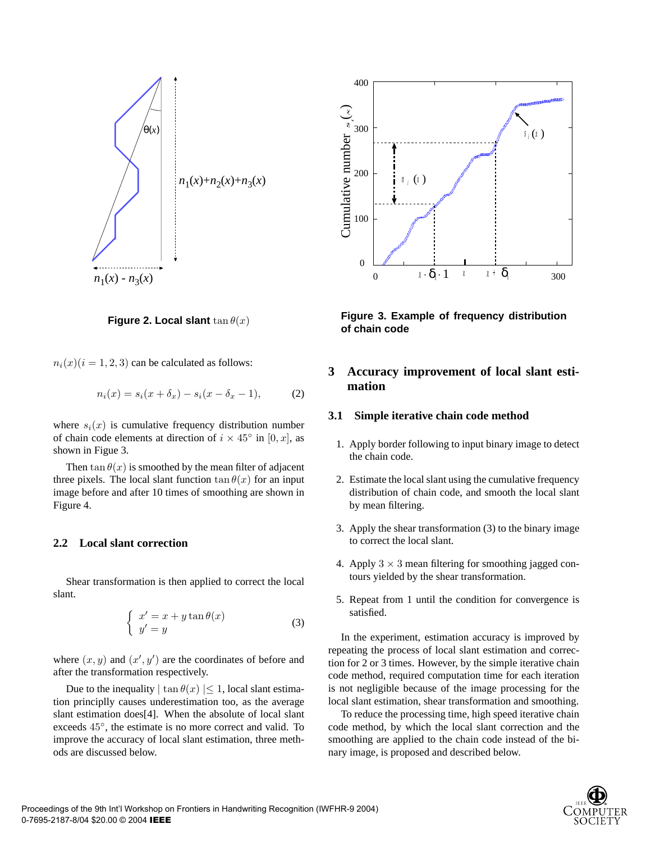

**Figure 2. Local slant**  $\tan \theta(x)$ 

 $n_i(x)(i = 1, 2, 3)$  can be calculated as follows:

$$
n_i(x) = s_i(x + \delta_x) - s_i(x - \delta_x - 1),
$$
 (2)

where  $s_i(x)$  is cumulative frequency distribution number of chain code elements at direction of  $i \times 45^\circ$  in [0, x], as shown in Figue 3.

Then  $tan \theta(x)$  is smoothed by the mean filter of adjacent three pixels. The local slant function  $tan \theta(x)$  for an input image before and after 10 times of smoothing are shown in Figure 4.

# **2.2 Local slant correction**

Shear transformation is then applied to correct the local slant.

$$
\begin{cases}\nx' = x + y \tan \theta(x) \\
y' = y\n\end{cases} \tag{3}
$$

where  $(x, y)$  and  $(x', y')$  are the coordinates of before and after the transformation respectively.

Due to the inequality  $|\tan \theta(x)| \leq 1$ , local slant estimation principlly causes underestimation too, as the average slant estimation does[4]. When the absolute of local slant exceeds 45◦, the estimate is no more correct and valid. To improve the accuracy of local slant estimation, three methods are discussed below.



**Figure 3. Example of frequency distribution of chain code**

# **3 Accuracy improvement of local slant estimation**

## **3.1 Simple iterative chain code method**

- 1. Apply border following to input binary image to detect the chain code.
- 2. Estimate the local slant using the cumulative frequency distribution of chain code, and smooth the local slant by mean filtering.
- 3. Apply the shear transformation (3) to the binary image to correct the local slant.
- 4. Apply  $3 \times 3$  mean filtering for smoothing jagged contours yielded by the shear transformation.
- 5. Repeat from 1 until the condition for convergence is satisfied.

In the experiment, estimation accuracy is improved by repeating the process of local slant estimation and correction for 2 or 3 times. However, by the simple iterative chain code method, required computation time for each iteration is not negligible because of the image processing for the local slant estimation, shear transformation and smoothing.

To reduce the processing time, high speed iterative chain code method, by which the local slant correction and the smoothing are applied to the chain code instead of the binary image, is proposed and described below.

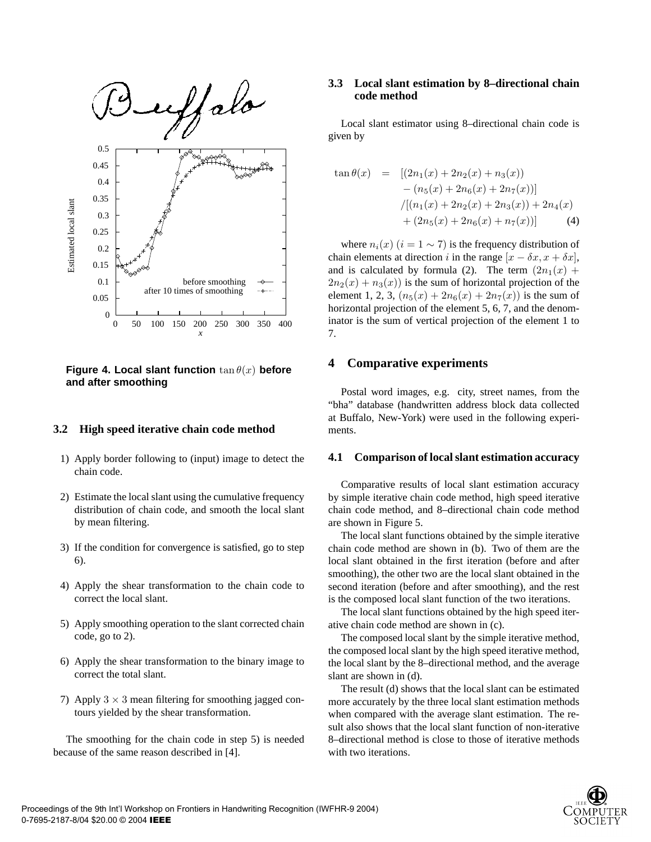

**Figure 4. Local slant function** tan θ(x) **before and after smoothing**

#### **3.2 High speed iterative chain code method**

- 1) Apply border following to (input) image to detect the chain code.
- 2) Estimate the local slant using the cumulative frequency distribution of chain code, and smooth the local slant by mean filtering.
- 3) If the condition for convergence is satisfied, go to step 6).
- 4) Apply the shear transformation to the chain code to correct the local slant.
- 5) Apply smoothing operation to the slant corrected chain code, go to 2).
- 6) Apply the shear transformation to the binary image to correct the total slant.
- 7) Apply  $3 \times 3$  mean filtering for smoothing jagged contours yielded by the shear transformation.

The smoothing for the chain code in step 5) is needed because of the same reason described in [4].

# **3.3 Local slant estimation by 8–directional chain code method**

Local slant estimator using 8–directional chain code is given by

$$
\tan \theta(x) = [(2n_1(x) + 2n_2(x) + n_3(x))
$$
  
- (n<sub>5</sub>(x) + 2n<sub>6</sub>(x) + 2n<sub>7</sub>(x))]   
 / [(n<sub>1</sub>(x) + 2n<sub>2</sub>(x) + 2n<sub>3</sub>(x)) + 2n<sub>4</sub>(x)  
+ (2n<sub>5</sub>(x) + 2n<sub>6</sub>(x) + n<sub>7</sub>(x))] (4)

where  $n_i(x)$  ( $i = 1 \sim 7$ ) is the frequency distribution of chain elements at direction i in the range  $[x - \delta x, x + \delta x]$ , and is calculated by formula (2). The term  $(2n_1(x) +$  $2n_2(x) + n_3(x)$  is the sum of horizontal projection of the element 1, 2, 3,  $(n_5(x) + 2n_6(x) + 2n_7(x))$  is the sum of horizontal projection of the element 5, 6, 7, and the denominator is the sum of vertical projection of the element 1 to 7.

### **4 Comparative experiments**

Postal word images, e.g. city, street names, from the "bha" database (handwritten address block data collected at Buffalo, New-York) were used in the following experiments.

#### **4.1 Comparison of local slant estimation accuracy**

Comparative results of local slant estimation accuracy by simple iterative chain code method, high speed iterative chain code method, and 8–directional chain code method are shown in Figure 5.

The local slant functions obtained by the simple iterative chain code method are shown in (b). Two of them are the local slant obtained in the first iteration (before and after smoothing), the other two are the local slant obtained in the second iteration (before and after smoothing), and the rest is the composed local slant function of the two iterations.

The local slant functions obtained by the high speed iterative chain code method are shown in (c).

The composed local slant by the simple iterative method, the composed local slant by the high speed iterative method, the local slant by the 8–directional method, and the average slant are shown in (d).

The result (d) shows that the local slant can be estimated more accurately by the three local slant estimation methods when compared with the average slant estimation. The result also shows that the local slant function of non-iterative 8–directional method is close to those of iterative methods with two iterations.

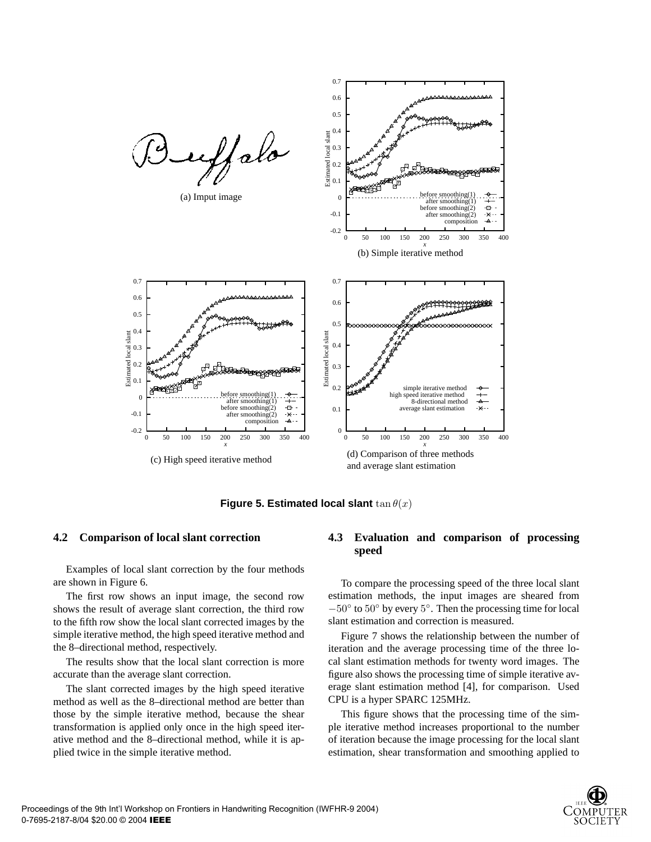

**Figure 5. Estimated local slant**  $\tan \theta(x)$ 

#### **4.2 Comparison of local slant correction**

Examples of local slant correction by the four methods are shown in Figure 6.

The first row shows an input image, the second row shows the result of average slant correction, the third row to the fifth row show the local slant corrected images by the simple iterative method, the high speed iterative method and the 8–directional method, respectively.

The results show that the local slant correction is more accurate than the average slant correction.

The slant corrected images by the high speed iterative method as well as the 8–directional method are better than those by the simple iterative method, because the shear transformation is applied only once in the high speed iterative method and the 8–directional method, while it is applied twice in the simple iterative method.

## **4.3 Evaluation and comparison of processing speed**

To compare the processing speed of the three local slant estimation methods, the input images are sheared from  $-50^\circ$  to  $50^\circ$  by every  $5^\circ$ . Then the processing time for local slant estimation and correction is measured.

Figure 7 shows the relationship between the number of iteration and the average processing time of the three local slant estimation methods for twenty word images. The figure also shows the processing time of simple iterative average slant estimation method [4], for comparison. Used CPU is a hyper SPARC 125MHz.

This figure shows that the processing time of the simple iterative method increases proportional to the number of iteration because the image processing for the local slant estimation, shear transformation and smoothing applied to

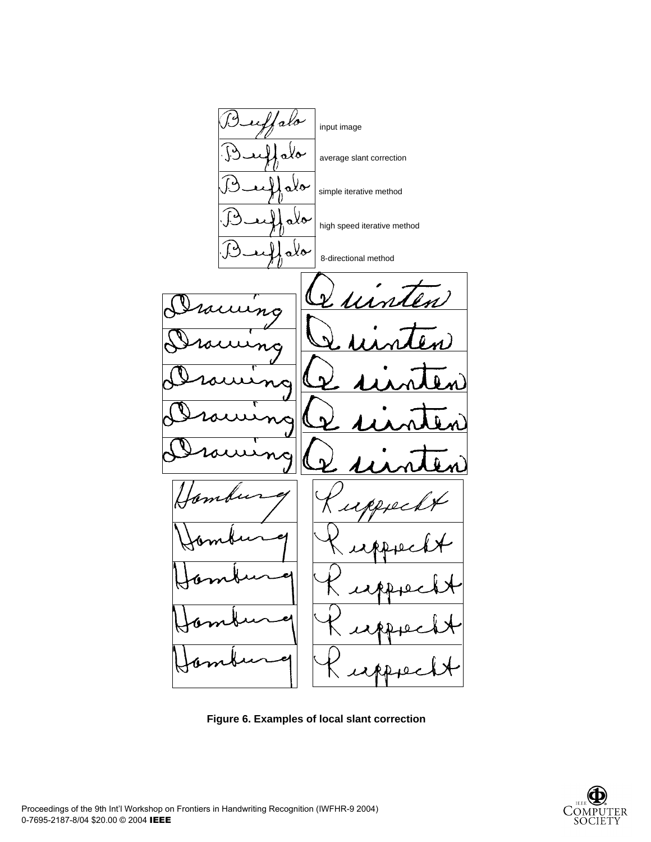

**Figure 6. Examples of local slant correction**